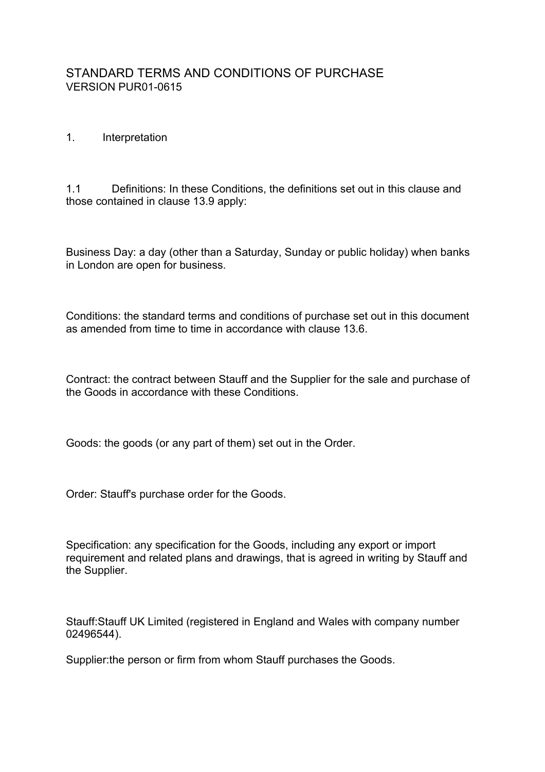# STANDARD TERMS AND CONDITIONS OF PURCHASE VERSION PUR01-0615

### 1. Interpretation

1.1 Definitions: In these Conditions, the definitions set out in this clause and those contained in clause 13.9 apply:

Business Day: a day (other than a Saturday, Sunday or public holiday) when banks in London are open for business.

Conditions: the standard terms and conditions of purchase set out in this document as amended from time to time in accordance with clause 13.6.

Contract: the contract between Stauff and the Supplier for the sale and purchase of the Goods in accordance with these Conditions.

Goods: the goods (or any part of them) set out in the Order.

Order: Stauff's purchase order for the Goods.

Specification: any specification for the Goods, including any export or import requirement and related plans and drawings, that is agreed in writing by Stauff and the Supplier.

Stauff:Stauff UK Limited (registered in England and Wales with company number 02496544).

Supplier:the person or firm from whom Stauff purchases the Goods.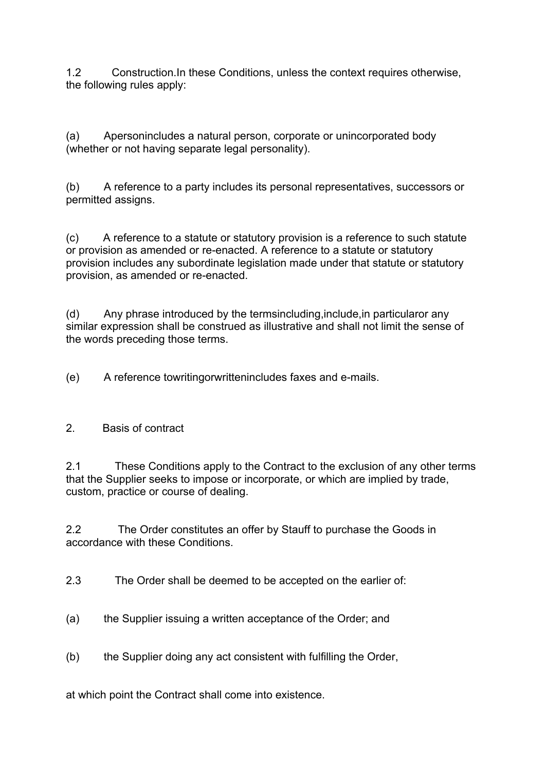1.2 Construction.In these Conditions, unless the context requires otherwise, the following rules apply:

(a) Apersonincludes a natural person, corporate or unincorporated body (whether or not having separate legal personality).

(b) A reference to a party includes its personal representatives, successors or permitted assigns.

(c) A reference to a statute or statutory provision is a reference to such statute or provision as amended or re-enacted. A reference to a statute or statutory provision includes any subordinate legislation made under that statute or statutory provision, as amended or re-enacted.

(d) Any phrase introduced by the termsincluding,include,in particularor any similar expression shall be construed as illustrative and shall not limit the sense of the words preceding those terms.

(e) A reference towritingorwrittenincludes faxes and e-mails.

## 2. Basis of contract

2.1 These Conditions apply to the Contract to the exclusion of any other terms that the Supplier seeks to impose or incorporate, or which are implied by trade, custom, practice or course of dealing.

2.2 The Order constitutes an offer by Stauff to purchase the Goods in accordance with these Conditions.

2.3 The Order shall be deemed to be accepted on the earlier of:

- (a) the Supplier issuing a written acceptance of the Order; and
- (b) the Supplier doing any act consistent with fulfilling the Order,

at which point the Contract shall come into existence.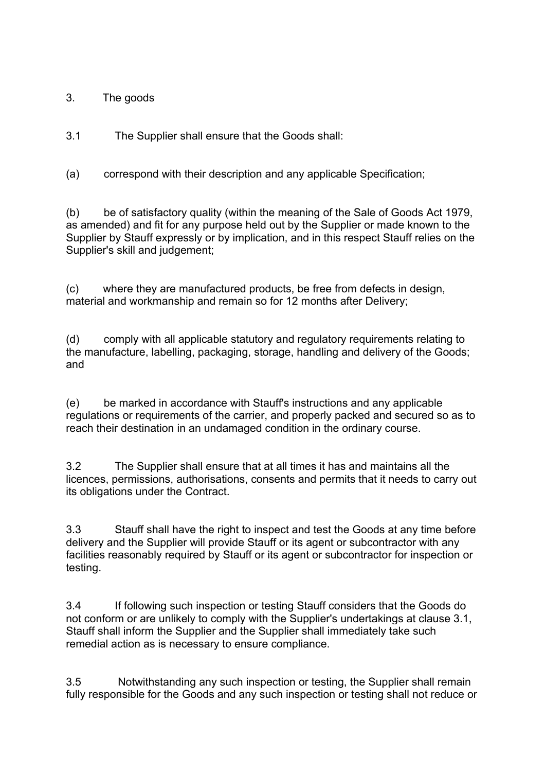3. The goods

3.1 The Supplier shall ensure that the Goods shall:

(a) correspond with their description and any applicable Specification;

(b) be of satisfactory quality (within the meaning of the Sale of Goods Act 1979, as amended) and fit for any purpose held out by the Supplier or made known to the Supplier by Stauff expressly or by implication, and in this respect Stauff relies on the Supplier's skill and judgement;

(c) where they are manufactured products, be free from defects in design, material and workmanship and remain so for 12 months after Delivery;

(d) comply with all applicable statutory and regulatory requirements relating to the manufacture, labelling, packaging, storage, handling and delivery of the Goods; and

(e) be marked in accordance with Stauff's instructions and any applicable regulations or requirements of the carrier, and properly packed and secured so as to reach their destination in an undamaged condition in the ordinary course.

3.2 The Supplier shall ensure that at all times it has and maintains all the licences, permissions, authorisations, consents and permits that it needs to carry out its obligations under the Contract.

3.3 Stauff shall have the right to inspect and test the Goods at any time before delivery and the Supplier will provide Stauff or its agent or subcontractor with any facilities reasonably required by Stauff or its agent or subcontractor for inspection or testing.

3.4 If following such inspection or testing Stauff considers that the Goods do not conform or are unlikely to comply with the Supplier's undertakings at clause 3.1, Stauff shall inform the Supplier and the Supplier shall immediately take such remedial action as is necessary to ensure compliance.

3.5 Notwithstanding any such inspection or testing, the Supplier shall remain fully responsible for the Goods and any such inspection or testing shall not reduce or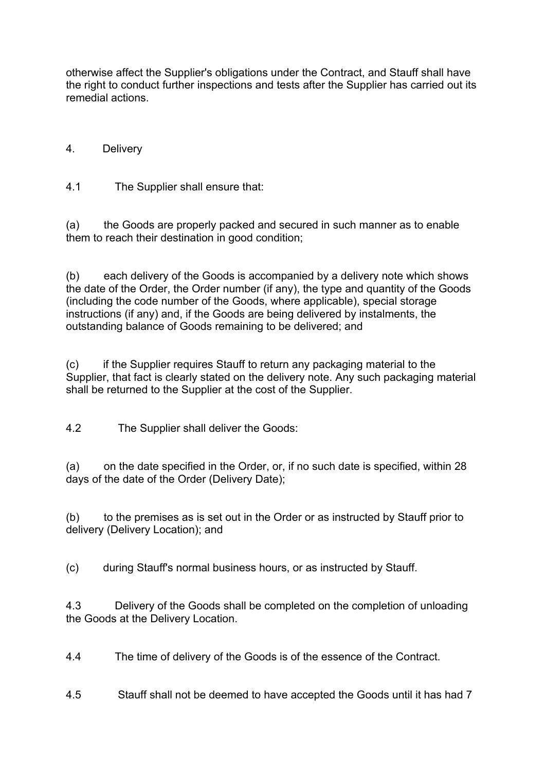otherwise affect the Supplier's obligations under the Contract, and Stauff shall have the right to conduct further inspections and tests after the Supplier has carried out its remedial actions.

# 4. Delivery

4.1 The Supplier shall ensure that:

(a) the Goods are properly packed and secured in such manner as to enable them to reach their destination in good condition;

(b) each delivery of the Goods is accompanied by a delivery note which shows the date of the Order, the Order number (if any), the type and quantity of the Goods (including the code number of the Goods, where applicable), special storage instructions (if any) and, if the Goods are being delivered by instalments, the outstanding balance of Goods remaining to be delivered; and

(c) if the Supplier requires Stauff to return any packaging material to the Supplier, that fact is clearly stated on the delivery note. Any such packaging material shall be returned to the Supplier at the cost of the Supplier.

4.2 The Supplier shall deliver the Goods:

(a) on the date specified in the Order, or, if no such date is specified, within 28 days of the date of the Order (Delivery Date);

(b) to the premises as is set out in the Order or as instructed by Stauff prior to delivery (Delivery Location); and

(c) during Stauff's normal business hours, or as instructed by Stauff.

4.3 Delivery of the Goods shall be completed on the completion of unloading the Goods at the Delivery Location.

4.4 The time of delivery of the Goods is of the essence of the Contract.

4.5 Stauff shall not be deemed to have accepted the Goods until it has had 7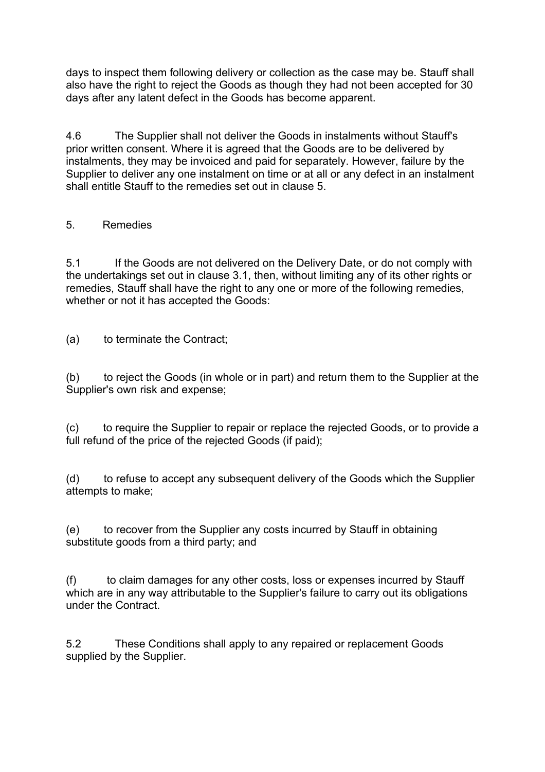days to inspect them following delivery or collection as the case may be. Stauff shall also have the right to reject the Goods as though they had not been accepted for 30 days after any latent defect in the Goods has become apparent.

4.6 The Supplier shall not deliver the Goods in instalments without Stauff's prior written consent. Where it is agreed that the Goods are to be delivered by instalments, they may be invoiced and paid for separately. However, failure by the Supplier to deliver any one instalment on time or at all or any defect in an instalment shall entitle Stauff to the remedies set out in clause 5.

# 5. Remedies

5.1 If the Goods are not delivered on the Delivery Date, or do not comply with the undertakings set out in clause 3.1, then, without limiting any of its other rights or remedies, Stauff shall have the right to any one or more of the following remedies, whether or not it has accepted the Goods:

(a) to terminate the Contract;

(b) to reject the Goods (in whole or in part) and return them to the Supplier at the Supplier's own risk and expense;

(c) to require the Supplier to repair or replace the rejected Goods, or to provide a full refund of the price of the rejected Goods (if paid);

(d) to refuse to accept any subsequent delivery of the Goods which the Supplier attempts to make;

(e) to recover from the Supplier any costs incurred by Stauff in obtaining substitute goods from a third party; and

(f) to claim damages for any other costs, loss or expenses incurred by Stauff which are in any way attributable to the Supplier's failure to carry out its obligations under the Contract.

5.2 These Conditions shall apply to any repaired or replacement Goods supplied by the Supplier.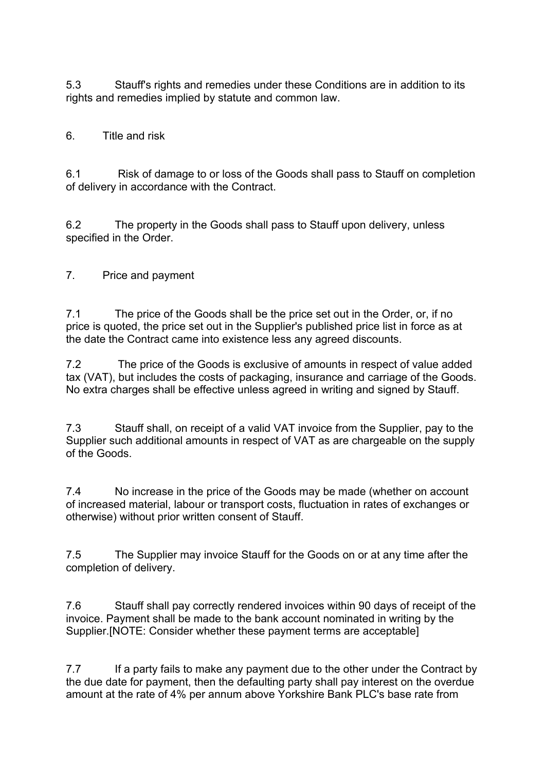5.3 Stauff's rights and remedies under these Conditions are in addition to its rights and remedies implied by statute and common law.

6. Title and risk

6.1 Risk of damage to or loss of the Goods shall pass to Stauff on completion of delivery in accordance with the Contract.

6.2 The property in the Goods shall pass to Stauff upon delivery, unless specified in the Order.

7. Price and payment

7.1 The price of the Goods shall be the price set out in the Order, or, if no price is quoted, the price set out in the Supplier's published price list in force as at the date the Contract came into existence less any agreed discounts.

7.2 The price of the Goods is exclusive of amounts in respect of value added tax (VAT), but includes the costs of packaging, insurance and carriage of the Goods. No extra charges shall be effective unless agreed in writing and signed by Stauff.

7.3 Stauff shall, on receipt of a valid VAT invoice from the Supplier, pay to the Supplier such additional amounts in respect of VAT as are chargeable on the supply of the Goods.

7.4 No increase in the price of the Goods may be made (whether on account of increased material, labour or transport costs, fluctuation in rates of exchanges or otherwise) without prior written consent of Stauff.

7.5 The Supplier may invoice Stauff for the Goods on or at any time after the completion of delivery.

7.6 Stauff shall pay correctly rendered invoices within 90 days of receipt of the invoice. Payment shall be made to the bank account nominated in writing by the Supplier.[NOTE: Consider whether these payment terms are acceptable]

7.7 If a party fails to make any payment due to the other under the Contract by the due date for payment, then the defaulting party shall pay interest on the overdue amount at the rate of 4% per annum above Yorkshire Bank PLC's base rate from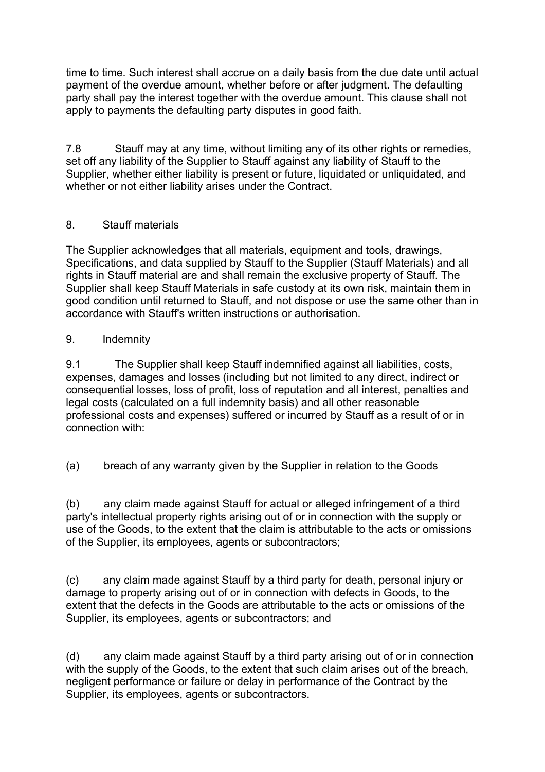time to time. Such interest shall accrue on a daily basis from the due date until actual payment of the overdue amount, whether before or after judgment. The defaulting party shall pay the interest together with the overdue amount. This clause shall not apply to payments the defaulting party disputes in good faith.

7.8 Stauff may at any time, without limiting any of its other rights or remedies, set off any liability of the Supplier to Stauff against any liability of Stauff to the Supplier, whether either liability is present or future, liquidated or unliquidated, and whether or not either liability arises under the Contract.

## 8. Stauff materials

The Supplier acknowledges that all materials, equipment and tools, drawings, Specifications, and data supplied by Stauff to the Supplier (Stauff Materials) and all rights in Stauff material are and shall remain the exclusive property of Stauff. The Supplier shall keep Stauff Materials in safe custody at its own risk, maintain them in good condition until returned to Stauff, and not dispose or use the same other than in accordance with Stauff's written instructions or authorisation.

## 9. Indemnity

9.1 The Supplier shall keep Stauff indemnified against all liabilities, costs, expenses, damages and losses (including but not limited to any direct, indirect or consequential losses, loss of profit, loss of reputation and all interest, penalties and legal costs (calculated on a full indemnity basis) and all other reasonable professional costs and expenses) suffered or incurred by Stauff as a result of or in connection with:

(a) breach of any warranty given by the Supplier in relation to the Goods

(b) any claim made against Stauff for actual or alleged infringement of a third party's intellectual property rights arising out of or in connection with the supply or use of the Goods, to the extent that the claim is attributable to the acts or omissions of the Supplier, its employees, agents or subcontractors;

(c) any claim made against Stauff by a third party for death, personal injury or damage to property arising out of or in connection with defects in Goods, to the extent that the defects in the Goods are attributable to the acts or omissions of the Supplier, its employees, agents or subcontractors; and

(d) any claim made against Stauff by a third party arising out of or in connection with the supply of the Goods, to the extent that such claim arises out of the breach, negligent performance or failure or delay in performance of the Contract by the Supplier, its employees, agents or subcontractors.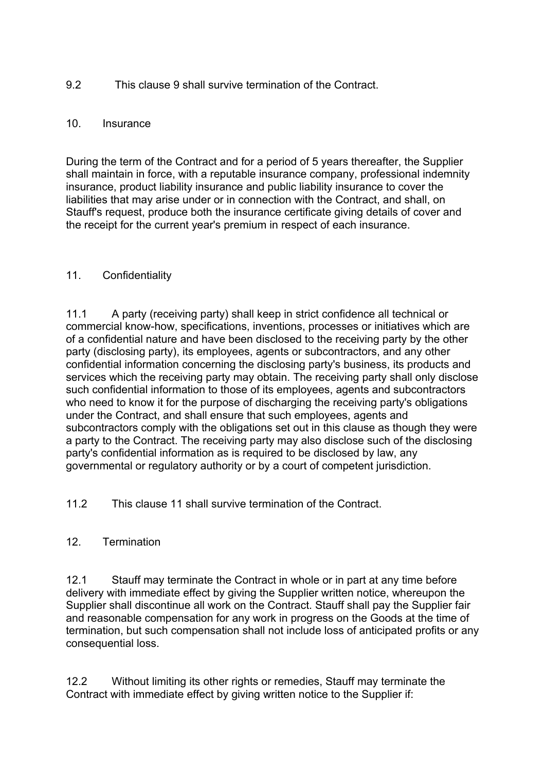## 9.2 This clause 9 shall survive termination of the Contract.

### 10. Insurance

During the term of the Contract and for a period of 5 years thereafter, the Supplier shall maintain in force, with a reputable insurance company, professional indemnity insurance, product liability insurance and public liability insurance to cover the liabilities that may arise under or in connection with the Contract, and shall, on Stauff's request, produce both the insurance certificate giving details of cover and the receipt for the current year's premium in respect of each insurance.

## 11. Confidentiality

11.1 A party (receiving party) shall keep in strict confidence all technical or commercial know-how, specifications, inventions, processes or initiatives which are of a confidential nature and have been disclosed to the receiving party by the other party (disclosing party), its employees, agents or subcontractors, and any other confidential information concerning the disclosing party's business, its products and services which the receiving party may obtain. The receiving party shall only disclose such confidential information to those of its employees, agents and subcontractors who need to know it for the purpose of discharging the receiving party's obligations under the Contract, and shall ensure that such employees, agents and subcontractors comply with the obligations set out in this clause as though they were a party to the Contract. The receiving party may also disclose such of the disclosing party's confidential information as is required to be disclosed by law, any governmental or regulatory authority or by a court of competent jurisdiction.

11.2 This clause 11 shall survive termination of the Contract.

### 12. Termination

12.1 Stauff may terminate the Contract in whole or in part at any time before delivery with immediate effect by giving the Supplier written notice, whereupon the Supplier shall discontinue all work on the Contract. Stauff shall pay the Supplier fair and reasonable compensation for any work in progress on the Goods at the time of termination, but such compensation shall not include loss of anticipated profits or any consequential loss.

12.2 Without limiting its other rights or remedies, Stauff may terminate the Contract with immediate effect by giving written notice to the Supplier if: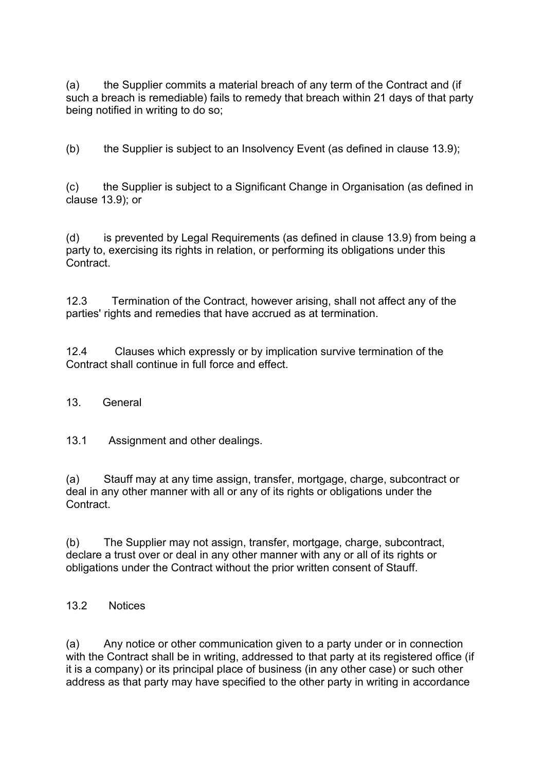(a) the Supplier commits a material breach of any term of the Contract and (if such a breach is remediable) fails to remedy that breach within 21 days of that party being notified in writing to do so;

(b) the Supplier is subject to an Insolvency Event (as defined in clause 13.9);

(c) the Supplier is subject to a Significant Change in Organisation (as defined in clause 13.9); or

(d) is prevented by Legal Requirements (as defined in clause 13.9) from being a party to, exercising its rights in relation, or performing its obligations under this Contract.

12.3 Termination of the Contract, however arising, shall not affect any of the parties' rights and remedies that have accrued as at termination.

12.4 Clauses which expressly or by implication survive termination of the Contract shall continue in full force and effect.

### 13. General

13.1 Assignment and other dealings.

(a) Stauff may at any time assign, transfer, mortgage, charge, subcontract or deal in any other manner with all or any of its rights or obligations under the Contract.

(b) The Supplier may not assign, transfer, mortgage, charge, subcontract, declare a trust over or deal in any other manner with any or all of its rights or obligations under the Contract without the prior written consent of Stauff.

13.2 Notices

(a) Any notice or other communication given to a party under or in connection with the Contract shall be in writing, addressed to that party at its registered office (if it is a company) or its principal place of business (in any other case) or such other address as that party may have specified to the other party in writing in accordance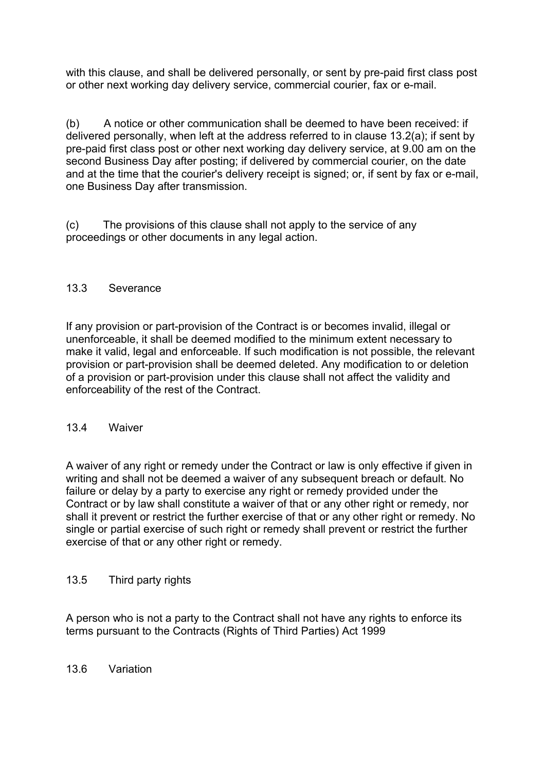with this clause, and shall be delivered personally, or sent by pre-paid first class post or other next working day delivery service, commercial courier, fax or e-mail.

(b) A notice or other communication shall be deemed to have been received: if delivered personally, when left at the address referred to in clause 13.2(a); if sent by pre-paid first class post or other next working day delivery service, at 9.00 am on the second Business Day after posting; if delivered by commercial courier, on the date and at the time that the courier's delivery receipt is signed; or, if sent by fax or e-mail, one Business Day after transmission.

(c) The provisions of this clause shall not apply to the service of any proceedings or other documents in any legal action.

## 13.3 Severance

If any provision or part-provision of the Contract is or becomes invalid, illegal or unenforceable, it shall be deemed modified to the minimum extent necessary to make it valid, legal and enforceable. If such modification is not possible, the relevant provision or part-provision shall be deemed deleted. Any modification to or deletion of a provision or part-provision under this clause shall not affect the validity and enforceability of the rest of the Contract.

### 13.4 Waiver

A waiver of any right or remedy under the Contract or law is only effective if given in writing and shall not be deemed a waiver of any subsequent breach or default. No failure or delay by a party to exercise any right or remedy provided under the Contract or by law shall constitute a waiver of that or any other right or remedy, nor shall it prevent or restrict the further exercise of that or any other right or remedy. No single or partial exercise of such right or remedy shall prevent or restrict the further exercise of that or any other right or remedy.

## 13.5 Third party rights

A person who is not a party to the Contract shall not have any rights to enforce its terms pursuant to the Contracts (Rights of Third Parties) Act 1999

## 13.6 Variation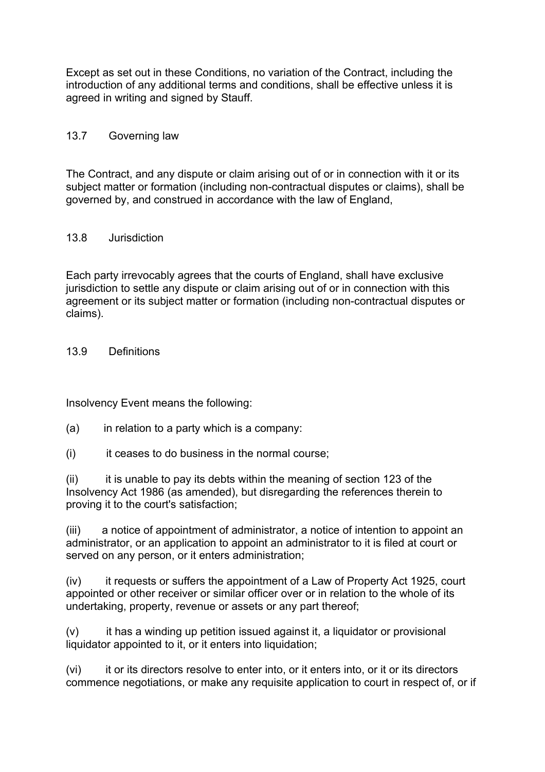Except as set out in these Conditions, no variation of the Contract, including the introduction of any additional terms and conditions, shall be effective unless it is agreed in writing and signed by Stauff.

## 13.7 Governing law

The Contract, and any dispute or claim arising out of or in connection with it or its subject matter or formation (including non-contractual disputes or claims), shall be governed by, and construed in accordance with the law of England,

### 13.8 Jurisdiction

Each party irrevocably agrees that the courts of England, shall have exclusive jurisdiction to settle any dispute or claim arising out of or in connection with this agreement or its subject matter or formation (including non-contractual disputes or claims).

13.9 Definitions

Insolvency Event means the following:

- $(a)$  in relation to a party which is a company:
- (i) it ceases to do business in the normal course;

(ii) it is unable to pay its debts within the meaning of section 123 of the Insolvency Act 1986 (as amended), but disregarding the references therein to proving it to the court's satisfaction;

(iii) a notice of appointment of administrator, a notice of intention to appoint an administrator, or an application to appoint an administrator to it is filed at court or served on any person, or it enters administration;

(iv) it requests or suffers the appointment of a Law of Property Act 1925, court appointed or other receiver or similar officer over or in relation to the whole of its undertaking, property, revenue or assets or any part thereof;

(v) it has a winding up petition issued against it, a liquidator or provisional liquidator appointed to it, or it enters into liquidation;

(vi) it or its directors resolve to enter into, or it enters into, or it or its directors commence negotiations, or make any requisite application to court in respect of, or if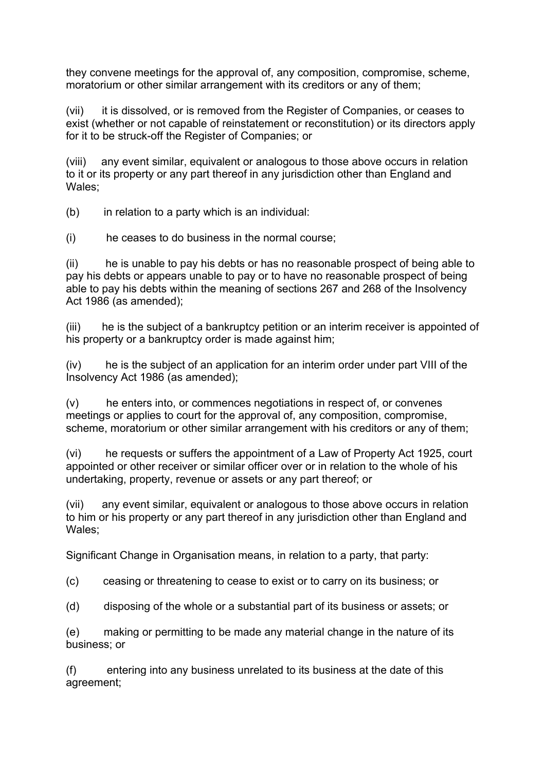they convene meetings for the approval of, any composition, compromise, scheme, moratorium or other similar arrangement with its creditors or any of them;

(vii) it is dissolved, or is removed from the Register of Companies, or ceases to exist (whether or not capable of reinstatement or reconstitution) or its directors apply for it to be struck-off the Register of Companies; or

(viii) any event similar, equivalent or analogous to those above occurs in relation to it or its property or any part thereof in any jurisdiction other than England and Wales;

(b) in relation to a party which is an individual:

(i) he ceases to do business in the normal course;

(ii) he is unable to pay his debts or has no reasonable prospect of being able to pay his debts or appears unable to pay or to have no reasonable prospect of being able to pay his debts within the meaning of sections 267 and 268 of the Insolvency Act 1986 (as amended);

(iii) he is the subject of a bankruptcy petition or an interim receiver is appointed of his property or a bankruptcy order is made against him;

(iv) he is the subject of an application for an interim order under part VIII of the Insolvency Act 1986 (as amended);

(v) he enters into, or commences negotiations in respect of, or convenes meetings or applies to court for the approval of, any composition, compromise, scheme, moratorium or other similar arrangement with his creditors or any of them;

(vi) he requests or suffers the appointment of a Law of Property Act 1925, court appointed or other receiver or similar officer over or in relation to the whole of his undertaking, property, revenue or assets or any part thereof; or

(vii) any event similar, equivalent or analogous to those above occurs in relation to him or his property or any part thereof in any jurisdiction other than England and Wales;

Significant Change in Organisation means, in relation to a party, that party:

(c) ceasing or threatening to cease to exist or to carry on its business; or

(d) disposing of the whole or a substantial part of its business or assets; or

(e) making or permitting to be made any material change in the nature of its business; or

(f) entering into any business unrelated to its business at the date of this agreement;